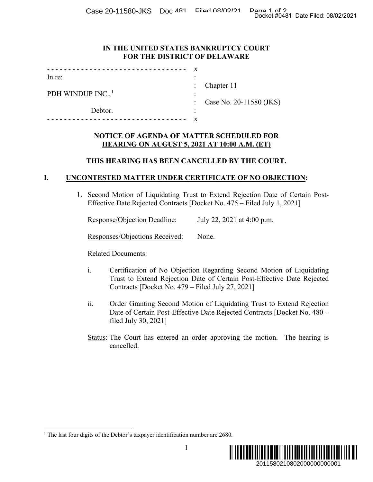Case 20-11580-JKS Doc 181 Filed 08/02/21 Page 1 of 20-11580-JKS Doc 201

#### **IN THE UNITED STATES BANKRUPTCY COURT FOR THE DISTRICT OF DELAWARE**

| In re:                         | ٠ |                           |
|--------------------------------|---|---------------------------|
|                                |   | : Chapter $11$            |
| PDH WINDUP $INC.$ <sup>1</sup> |   |                           |
|                                |   | : Case No. 20-11580 (JKS) |
| Debtor.                        | ٠ |                           |
|                                |   |                           |

### **NOTICE OF AGENDA OF MATTER SCHEDULED FOR HEARING ON AUGUST 5, 2021 AT 10:00 A.M. (ET)**

#### **THIS HEARING HAS BEEN CANCELLED BY THE COURT.**

## **I. UNCONTESTED MATTER UNDER CERTIFICATE OF NO OBJECTION:**

1. Second Motion of Liquidating Trust to Extend Rejection Date of Certain Post-Effective Date Rejected Contracts [Docket No. 475 – Filed July 1, 2021]

|  | <b>Response/Objection Deadline:</b> |  | July 22, 2021 at 4:00 p.m. |  |
|--|-------------------------------------|--|----------------------------|--|
|  |                                     |  |                            |  |

Responses/Objections Received: None.

Related Documents:

- i. Certification of No Objection Regarding Second Motion of Liquidating Trust to Extend Rejection Date of Certain Post-Effective Date Rejected Contracts [Docket No. 479 – Filed July 27, 2021]
- ii. Order Granting Second Motion of Liquidating Trust to Extend Rejection Date of Certain Post-Effective Date Rejected Contracts [Docket No. 480 – filed July 30, 2021]
- <span id="page-0-0"></span>Status: The Court has entered an order approving the motion. The hearing is cancelled.

<sup>&</sup>lt;sup>1</sup> The last four digits of the Debtor's taxpayer identification number are 2680.